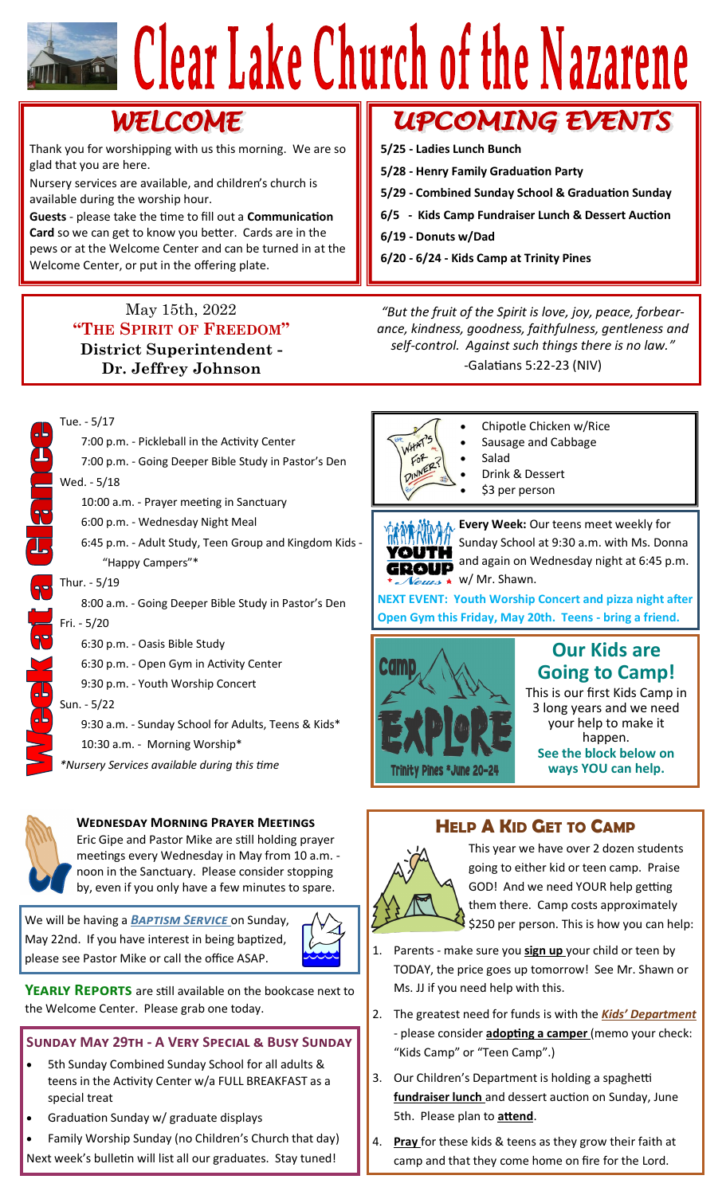# Clear Lake Church of the Nazarene

## **WELCOME**

Thank you for worshipping with us this morning. We are so glad that you are here.

Nursery services are available, and children's church is available during the worship hour.

**Guests** - please take the time to fill out a **Communication Card** so we can get to know you better. Cards are in the pews or at the Welcome Center and can be turned in at the Welcome Center, or put in the offering plate.

### May 15th, 2022 **"THE SPIRIT OF FREEDOM" District Superintendent - Dr. Jeffrey Johnson**

7:00 p.m. - Pickleball in the Activity Center

Tue. - 5/17

### **UPCOMING EVENTS**

- **5/25 - Ladies Lunch Bunch**
- **5/28 - Henry Family Graduation Party**
- **5/29 - Combined Sunday School & Graduation Sunday**
- **6/5 - Kids Camp Fundraiser Lunch & Dessert Auction**
- **6/19 - Donuts w/Dad**
- **6/20 - 6/24 - Kids Camp at Trinity Pines**

*"But the fruit of the Spirit is love, joy, peace, forbearance, kindness, goodness, faithfulness, gentleness and self-control. Against such things there is no law."* -Galatians 5:22-23 (NIV)





### **Wednesday Morning Prayer Meetings**

Eric Gipe and Pastor Mike are still holding prayer meetings every Wednesday in May from 10 a.m. noon in the Sanctuary. Please consider stopping by, even if you only have a few minutes to spare.

We will be having a *Baptism Service* on Sunday, May 22nd. If you have interest in being baptized, please see Pastor Mike or call the office ASAP.



**YEARLY REPORTS** are still available on the bookcase next to the Welcome Center. Please grab one today.

### **Sunday May 29th - A Very Special & Busy Sunday**

- 5th Sunday Combined Sunday School for all adults & teens in the Activity Center w/a FULL BREAKFAST as a special treat
- Graduation Sunday w/ graduate displays
- Family Worship Sunday (no Children's Church that day) Next week's bulletin will list all our graduates. Stay tuned!



- Chipotle Chicken w/Rice • Sausage and Cabbage
- 
- Salad
- Drink & Dessert
- \$3 per person

**M<sub>M-</sub> Every Week:** Our teens meet weekly for Sunday School at 9:30 a.m. with Ms. Donna YOUTH and again on Wednesday night at 6:45 p.m. GROUP  $\overline{V}\overline{e u a s}$  w/ Mr. Shawn.

**NEXT EVENT: Youth Worship Concert and pizza night after Open Gym this Friday, May 20th. Teens - bring a friend.**



### **Our Kids are Going to Camp!**

This is our first Kids Camp in 3 long years and we need your help to make it happen. **See the block below on ways YOU can help.**

### **HELP A KID GET TO CAMP**



This year we have over 2 dozen students going to either kid or teen camp. Praise GOD! And we need YOUR help getting them there. Camp costs approximately \$250 per person. This is how you can help:

- 1. Parents make sure you **sign up** your child or teen by TODAY, the price goes up tomorrow! See Mr. Shawn or Ms. JJ if you need help with this.
- 2. The greatest need for funds is with the *Kids' Department*  - please consider **adopting a camper** (memo your check: "Kids Camp" or "Teen Camp".)
- 3. Our Children's Department is holding a spaghetti **fundraiser lunch** and dessert auction on Sunday, June 5th. Please plan to **attend**.
- 4. **Pray** for these kids & teens as they grow their faith at camp and that they come home on fire for the Lord.